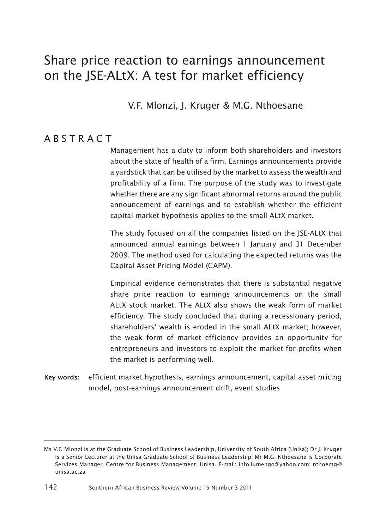# Share price reaction to earnings announcement on the JSE-ALtX: A test for market efficiency

V.F. Mlonzi, J. Kruger & M.G. Nthoesane

### **ABSTRACT**

Management has a duty to inform both shareholders and investors about the state of health of a firm. Earnings announcements provide a yardstick that can be utilised by the market to assess the wealth and profitability of a firm. The purpose of the study was to investigate whether there are any significant abnormal returns around the public announcement of earnings and to establish whether the efficient capital market hypothesis applies to the small ALtX market.

The study focused on all the companies listed on the JSE-ALtX that announced annual earnings between 1 January and 31 December 2009. The method used for calculating the expected returns was the Capital Asset Pricing Model (CAPM).

Empirical evidence demonstrates that there is substantial negative share price reaction to earnings announcements on the small ALtX stock market. The ALtX also shows the weak form of market efficiency. The study concluded that during a recessionary period, shareholders' wealth is eroded in the small ALtX market; however, the weak form of market efficiency provides an opportunity for entrepreneurs and investors to exploit the market for profits when the market is performing well.

<sup>18</sup>Key words: efficient market hypothesis, earnings announcement, capital asset pricing model, post-earnings announcement drift, event studies

Ms V.F. Mlonzi is at the Graduate School of Business Leadership, University of South Africa (Unisa); Dr J. Kruger is a Senior Lecturer at the Unisa Graduate School of Business Leadership; Mr M.G. Nthoesane is Corporate Services Manager, Centre for Business Management, Unisa. E-mail: info.lumengo@yahoo.com; nthoemg@ unisa.ac.za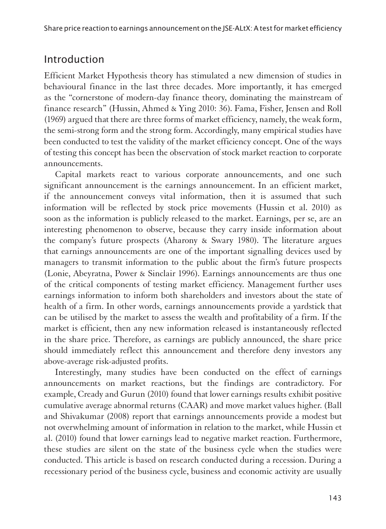## Introduction

Efficient Market Hypothesis theory has stimulated a new dimension of studies in behavioural finance in the last three decades. More importantly, it has emerged as the "cornerstone of modern-day finance theory, dominating the mainstream of finance research" (Hussin, Ahmed & Ying 2010: 36). Fama, Fisher, Jensen and Roll (1969) argued that there are three forms of market efficiency, namely, the weak form, the semi-strong form and the strong form. Accordingly, many empirical studies have been conducted to test the validity of the market efficiency concept. One of the ways of testing this concept has been the observation of stock market reaction to corporate announcements.

Capital markets react to various corporate announcements, and one such significant announcement is the earnings announcement. In an efficient market, if the announcement conveys vital information, then it is assumed that such information will be reflected by stock price movements (Hussin et al. 2010) as soon as the information is publicly released to the market. Earnings, per se, are an interesting phenomenon to observe, because they carry inside information about the company's future prospects (Aharony & Swary 1980). The literature argues that earnings announcements are one of the important signalling devices used by managers to transmit information to the public about the firm's future prospects (Lonie, Abeyratna, Power & Sinclair 1996). Earnings announcements are thus one of the critical components of testing market efficiency. Management further uses earnings information to inform both shareholders and investors about the state of health of a firm. In other words, earnings announcements provide a yardstick that can be utilised by the market to assess the wealth and profitability of a firm. If the market is efficient, then any new information released is instantaneously reflected in the share price. Therefore, as earnings are publicly announced, the share price should immediately reflect this announcement and therefore deny investors any above-average risk-adjusted profits.

Interestingly, many studies have been conducted on the effect of earnings announcements on market reactions, but the findings are contradictory. For example, Cready and Gurun (2010) found that lower earnings results exhibit positive cumulative average abnormal returns (CAAR) and move market values higher. (Ball and Shivakumar (2008) report that earnings announcements provide a modest but not overwhelming amount of information in relation to the market, while Hussin et al. (2010) found that lower earnings lead to negative market reaction. Furthermore, these studies are silent on the state of the business cycle when the studies were conducted. This article is based on research conducted during a recession. During a recessionary period of the business cycle, business and economic activity are usually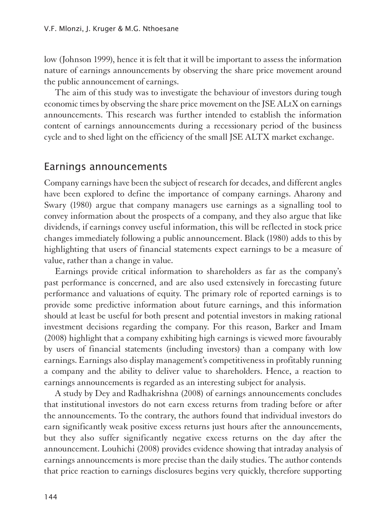low (Johnson 1999), hence it is felt that it will be important to assess the information nature of earnings announcements by observing the share price movement around the public announcement of earnings.

The aim of this study was to investigate the behaviour of investors during tough economic times by observing the share price movement on the JSE ALtX on earnings announcements. This research was further intended to establish the information content of earnings announcements during a recessionary period of the business cycle and to shed light on the efficiency of the small JSE ALTX market exchange.

### Earnings announcements

1Company earnings have been the subject of research for decades, and different angles have been explored to define the importance of company earnings. Aharony and Swary (1980) argue that company managers use earnings as a signalling tool to convey information about the prospects of a company, and they also argue that like dividends, if earnings convey useful information, this will be reflected in stock price changes immediately following a public announcement. Black (1980) adds to this by highlighting that users of financial statements expect earnings to be a measure of value, rather than a change in value.

Earnings provide critical information to shareholders as far as the company's past performance is concerned, and are also used extensively in forecasting future performance and valuations of equity. The primary role of reported earnings is to provide some predictive information about future earnings, and this information should at least be useful for both present and potential investors in making rational investment decisions regarding the company. For this reason, Barker and Imam (2008) highlight that a company exhibiting high earnings is viewed more favourably by users of financial statements (including investors) than a company with low earnings. Earnings also display management's competitiveness in profitably running a company and the ability to deliver value to shareholders. Hence, a reaction to earnings announcements is regarded as an interesting subject for analysis.

A study by Dey and Radhakrishna (2008) of earnings announcements concludes that institutional investors do not earn excess returns from trading before or after the announcements. To the contrary, the authors found that individual investors do earn significantly weak positive excess returns just hours after the announcements, but they also suffer significantly negative excess returns on the day after the announcement. Louhichi (2008) provides evidence showing that intraday analysis of earnings announcements is more precise than the daily studies. The author contends that price reaction to earnings disclosures begins very quickly, therefore supporting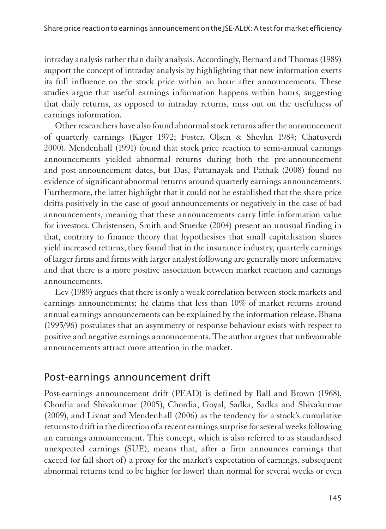intraday analysis rather than daily analysis. Accordingly, Bernard and Thomas (1989) support the concept of intraday analysis by highlighting that new information exerts its full influence on the stock price within an hour after announcements. These studies argue that useful earnings information happens within hours, suggesting that daily returns, as opposed to intraday returns, miss out on the usefulness of earnings information.

Other researchers have also found abnormal stock returns after the announcement of quarterly earnings (Kiger 1972; Foster, Olsen & Shevlin 1984; Chatuverdi 2000). Mendenhall (1991) found that stock price reaction to semi-annual earnings announcements yielded abnormal returns during both the pre-announcement and post-announcement dates, but Das, Pattanayak and Pathak (2008) found no evidence of significant abnormal returns around quarterly earnings announcements. Furthermore, the latter highlight that it could not be established that the share price drifts positively in the case of good announcements or negatively in the case of bad announcements, meaning that these announcements carry little information value for investors. Christensen, Smith and Stuerke (2004) present an unusual finding in that, contrary to finance theory that hypothesises that small capitalisation shares yield increased returns, they found that in the insurance industry, quarterly earnings of larger firms and firms with larger analyst following are generally more informative and that there is a more positive association between market reaction and earnings announcements.

Lev (1989) argues that there is only a weak correlation between stock markets and earnings announcements; he claims that less than 10% of market returns around annual earnings announcements can be explained by the information release. Bhana (1995/96) postulates that an asymmetry of response behaviour exists with respect to positive and negative earnings announcements. The author argues that unfavourable announcements attract more attention in the market.

# Post-earnings announcement drift

1Post-earnings announcement drift (PEAD) is defined by Ball and Brown (1968), Chordia and Shivakumar (2005), Chordia, Goyal, Sadka, Sadka and Shivakumar (2009), and Livnat and Mendenhall (2006) as the tendency for a stock's cumulative returns to drift in the direction of a recent earnings surprise for several weeks following an earnings announcement. This concept, which is also referred to as standardised unexpected earnings (SUE), means that, after a firm announces earnings that exceed (or fall short of) a proxy for the market's expectation of earnings, subsequent abnormal returns tend to be higher (or lower) than normal for several weeks or even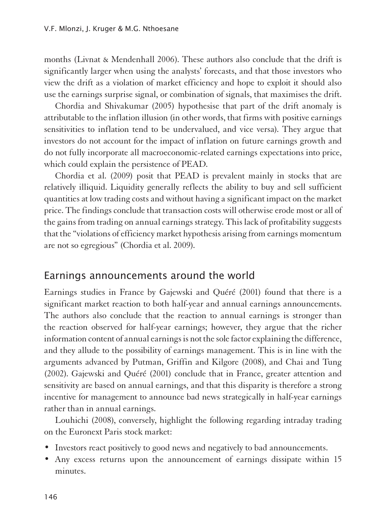months (Livnat & Mendenhall 2006). These authors also conclude that the drift is significantly larger when using the analysts' forecasts, and that those investors who view the drift as a violation of market efficiency and hope to exploit it should also use the earnings surprise signal, or combination of signals, that maximises the drift.

Chordia and Shivakumar (2005) hypothesise that part of the drift anomaly is attributable to the inflation illusion (in other words, that firms with positive earnings sensitivities to inflation tend to be undervalued, and vice versa). They argue that investors do not account for the impact of inflation on future earnings growth and do not fully incorporate all macroeconomic-related earnings expectations into price, which could explain the persistence of PEAD.

Chordia et al. (2009) posit that PEAD is prevalent mainly in stocks that are relatively illiquid. Liquidity generally reflects the ability to buy and sell sufficient quantities at low trading costs and without having a significant impact on the market price. The findings conclude that transaction costs will otherwise erode most or all of the gains from trading on annual earnings strategy. This lack of profitability suggests that the "violations of efficiency market hypothesis arising from earnings momentum are not so egregious" (Chordia et al. 2009).

### Earnings announcements around the world

1Earnings studies in France by Gajewski and Quéré (2001) found that there is a significant market reaction to both half-year and annual earnings announcements. The authors also conclude that the reaction to annual earnings is stronger than the reaction observed for half-year earnings; however, they argue that the richer information content of annual earnings is not the sole factor explaining the difference, and they allude to the possibility of earnings management. This is in line with the arguments advanced by Putman, Griffin and Kilgore (2008), and Chai and Tung (2002). Gajewski and Quéré (2001) conclude that in France, greater attention and sensitivity are based on annual earnings, and that this disparity is therefore a strong incentive for management to announce bad news strategically in half-year earnings rather than in annual earnings.

Louhichi (2008), conversely, highlight the following regarding intraday trading on the Euronext Paris stock market:

- Investors react positively to good news and negatively to bad announcements.
- Any excess returns upon the announcement of earnings dissipate within 15 minutes.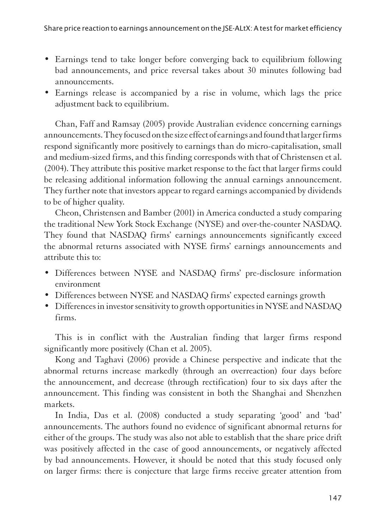- Earnings tend to take longer before converging back to equilibrium following bad announcements, and price reversal takes about 30 minutes following bad announcements.
- Earnings release is accompanied by a rise in volume, which lags the price adjustment back to equilibrium.

Chan, Faff and Ramsay (2005) provide Australian evidence concerning earnings announcements. They focused on the size effect of earnings and found that larger firms respond significantly more positively to earnings than do micro-capitalisation, small and medium-sized firms, and this finding corresponds with that of Christensen et al. (2004). They attribute this positive market response to the fact that larger firms could be releasing additional information following the annual earnings announcement. They further note that investors appear to regard earnings accompanied by dividends to be of higher quality.

Cheon, Christensen and Bamber (2001) in America conducted a study comparing the traditional New York Stock Exchange (NYSE) and over-the-counter NASDAQ. They found that NASDAQ firms' earnings announcements significantly exceed the abnormal returns associated with NYSE firms' earnings announcements and attribute this to:

- Differences between NYSE and NASDAQ firms' pre-disclosure information environment
- Differences between NYSE and NASDAQ firms' expected earnings growth
- Differences in investor sensitivity to growth opportunities in NYSE and NASDAQ firms.

This is in conflict with the Australian finding that larger firms respond significantly more positively (Chan et al. 2005).

Kong and Taghavi (2006) provide a Chinese perspective and indicate that the abnormal returns increase markedly (through an overreaction) four days before the announcement, and decrease (through rectification) four to six days after the announcement. This finding was consistent in both the Shanghai and Shenzhen markets.

In India, Das et al. (2008) conducted a study separating 'good' and 'bad' announcements. The authors found no evidence of significant abnormal returns for either of the groups. The study was also not able to establish that the share price drift was positively affected in the case of good announcements, or negatively affected by bad announcements. However, it should be noted that this study focused only on larger firms: there is conjecture that large firms receive greater attention from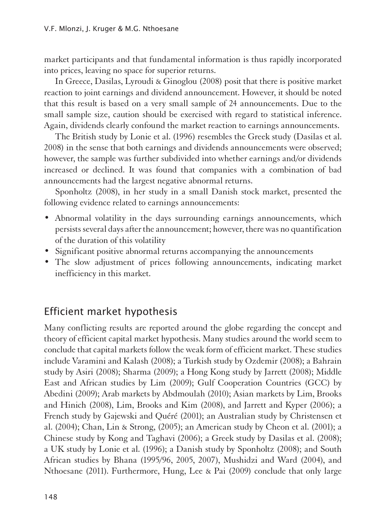market participants and that fundamental information is thus rapidly incorporated into prices, leaving no space for superior returns.

In Greece, Dasilas, Lyroudi & Ginoglou (2008) posit that there is positive market reaction to joint earnings and dividend announcement. However, it should be noted that this result is based on a very small sample of 24 announcements. Due to the small sample size, caution should be exercised with regard to statistical inference. Again, dividends clearly confound the market reaction to earnings announcements.

The British study by Lonie et al. (1996) resembles the Greek study (Dasilas et al. 2008) in the sense that both earnings and dividends announcements were observed; however, the sample was further subdivided into whether earnings and/or dividends increased or declined. It was found that companies with a combination of bad announcements had the largest negative abnormal returns.

Sponholtz (2008), in her study in a small Danish stock market, presented the following evidence related to earnings announcements:

- Abnormal volatility in the days surrounding earnings announcements, which persists several days after the announcement; however, there was no quantification of the duration of this volatility
- Significant positive abnormal returns accompanying the announcements
- The slow adjustment of prices following announcements, indicating market inefficiency in this market.

# Efficient market hypothesis

1Many conflicting results are reported around the globe regarding the concept and theory of efficient capital market hypothesis. Many studies around the world seem to conclude that capital markets follow the weak form of efficient market. These studies include Varamini and Kalash (2008); a Turkish study by Ozdemir (2008); a Bahrain study by Asiri (2008); Sharma (2009); a Hong Kong study by Jarrett (2008); Middle East and African studies by Lim (2009); Gulf Cooperation Countries (GCC) by Abedini (2009); Arab markets by Abdmoulah (2010); Asian markets by Lim, Brooks and Hinich (2008), Lim, Brooks and Kim (2008), and Jarrett and Kyper (2006); a French study by Gajewski and Quéré (2001); an Australian study by Christensen et al. (2004); Chan, Lin & Strong, (2005); an American study by Cheon et al. (2001); a Chinese study by Kong and Taghavi (2006); a Greek study by Dasilas et al. (2008); a UK study by Lonie et al. (1996); a Danish study by Sponholtz (2008); and South African studies by Bhana (1995/96, 2005, 2007), Mushidzi and Ward (2004), and Nthoesane (2011). Furthermore, Hung, Lee & Pai (2009) conclude that only large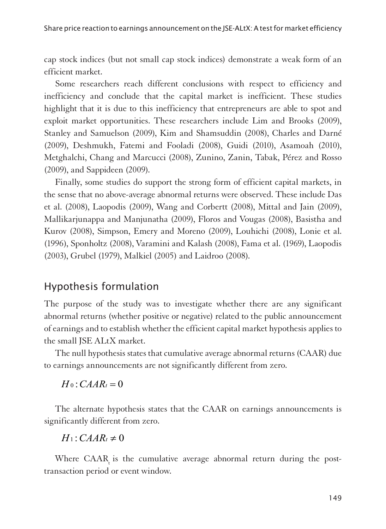cap stock indices (but not small cap stock indices) demonstrate a weak form of an efficient market.

Some researchers reach different conclusions with respect to efficiency and inefficiency and conclude that the capital market is inefficient. These studies highlight that it is due to this inefficiency that entrepreneurs are able to spot and exploit market opportunities. These researchers include Lim and Brooks (2009), Stanley and Samuelson (2009), Kim and Shamsuddin (2008), Charles and Darné (2009), Deshmukh, Fatemi and Fooladi (2008), Guidi (2010), Asamoah (2010), Metghalchi, Chang and Marcucci (2008), Zunino, Zanin, Tabak, Pérez and Rosso (2009), and Sappideen (2009).

Finally, some studies do support the strong form of efficient capital markets, in the sense that no above-average abnormal returns were observed. These include Das et al. (2008), Laopodis (2009), Wang and Corbertt (2008), Mittal and Jain (2009), Mallikarjunappa and Manjunatha (2009), Floros and Vougas (2008), Basistha and Kurov (2008), Simpson, Emery and Moreno (2009), Louhichi (2008), Lonie et al. (1996), Sponholtz (2008), Varamini and Kalash (2008), Fama et al. (1969), Laopodis (2003), Grubel (1979), Malkiel (2005) and Laidroo (2008).

## Hypothesis formulation

1The purpose of the study was to investigate whether there are any significant abnormal returns (whether positive or negative) related to the public announcement of earnings and to establish whether the efficient capital market hypothesis applies to the small JSE ALtX market.

The null hypothesis states that cumulative average abnormal returns (CAAR) due to earnings announcements are not significantly different from zero.

 $H_0$ :  $CAAR_t = 0$ 

The alternate hypothesis states that the CAAR on earnings announcements is significantly different from zero.

 $H_1$ : *CAAR<sub>t</sub>*  $\neq$  0

Where CAAR is the cumulative average abnormal return during the posttransaction period or event window.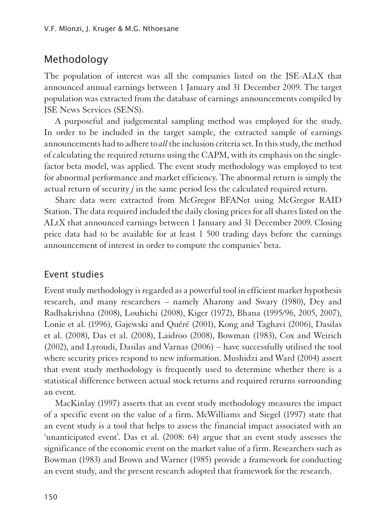# Methodology

1The population of interest was all the companies listed on the JSE-ALtX that announced annual earnings between 1 January and 31 December 2009. The target population was extracted from the database of earnings announcements compiled by JSE News Services (SENS).

A purposeful and judgemental sampling method was employed for the study. In order to be included in the target sample, the extracted sample of earnings announcements had to adhere to *all* the inclusion criteria set. In this study, the method of calculating the required returns using the CAPM, with its emphasis on the singlefactor beta model, was applied. The event study methodology was employed to test for abnormal performance and market efficiency. The abnormal return is simply the actual return of security *j* in the same period less the calculated required return.

Share data were extracted from McGregor BFANet using McGregor RAID Station. The data required included the daily closing prices for all shares listed on the ALtX that announced earnings between 1 January and 31 December 2009. Closing price data had to be available for at least 1 500 trading days before the earnings announcement of interest in order to compute the companies' beta.

### Event studies

Event study methodology is regarded as a powerful tool in efficient market hypothesis research, and many researchers – namely Aharony and Swary (1980), Dey and Radhakrishna (2008), Louhichi (2008), Kiger (1972), Bhana (1995/96, 2005, 2007), Lonie et al. (1996), Gajewski and Quéré (2001), Kong and Taghavi (2006), Dasilas et al. (2008), Das et al. (2008), Laidroo (2008), Bowman (1983), Cox and Weirich (2002), and Lyroudi, Dasilas and Varnas (2006) – have successfully utilised the tool where security prices respond to new information. Mushidzi and Ward (2004) assert that event study methodology is frequently used to determine whether there is a statistical difference between actual stock returns and required returns surrounding an event.

MacKinlay (1997) asserts that an event study methodology measures the impact of a specific event on the value of a firm. McWilliams and Siegel (1997) state that an event study is a tool that helps to assess the financial impact associated with an 'unanticipated event'. Das et al. (2008: 64) argue that an event study assesses the significance of the economic event on the market value of a firm. Researchers such as Bowman (1983) and Brown and Warner (1985) provide a framework for conducting an event study, and the present research adopted that framework for the research.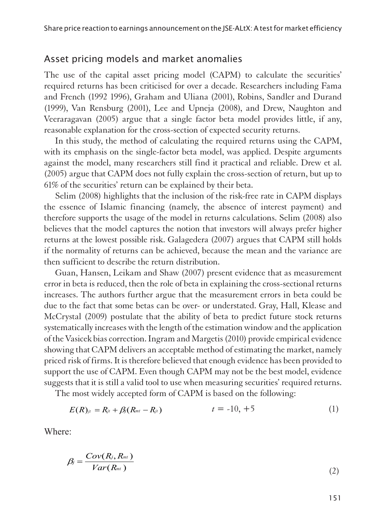#### Asset pricing models and market anomalies

The use of the capital asset pricing model (CAPM) to calculate the securities' required returns has been criticised for over a decade. Researchers including Fama and French (1992 1996), Graham and Uliana (2001), Robins, Sandler and Durand (1999), Van Rensburg (2001), Lee and Upneja (2008), and Drew, Naughton and Veeraragavan (2005) argue that a single factor beta model provides little, if any, reasonable explanation for the cross-section of expected security returns.

In this study, the method of calculating the required returns using the CAPM, with its emphasis on the single-factor beta model, was applied. Despite arguments against the model, many researchers still find it practical and reliable. Drew et al. (2005) argue that CAPM does not fully explain the cross-section of return, but up to 61% of the securities' return can be explained by their beta.

Selim (2008) highlights that the inclusion of the risk-free rate in CAPM displays the essence of Islamic financing (namely, the absence of interest payment) and therefore supports the usage of the model in returns calculations. Selim (2008) also believes that the model captures the notion that investors will always prefer higher returns at the lowest possible risk. Galagedera (2007) argues that CAPM still holds if the normality of returns can be achieved, because the mean and the variance are then sufficient to describe the return distribution.

Guan, Hansen, Leikam and Shaw (2007) present evidence that as measurement error in beta is reduced, then the role of beta in explaining the cross-sectional returns increases. The authors further argue that the measurement errors in beta could be due to the fact that some betas can be over- or understated. Gray, Hall, Klease and McCrystal (2009) postulate that the ability of beta to predict future stock returns systematically increases with the length of the estimation window and the application of the Vasicek bias correction. Ingram and Margetis (2010) provide empirical evidence showing that CAPM delivers an acceptable method of estimating the market, namely priced risk of firms. It is therefore believed that enough evidence has been provided to support the use of CAPM. Even though CAPM may not be the best model, evidence suggests that it is still a valid tool to use when measuring securities' required returns.

The most widely accepted form of CAPM is based on the following:

$$
E(R)_{jt} = R_{jt} + \beta_j (R_{mt} - R_{jt}) \qquad t = -10, +5 \qquad (1)
$$

Where:

$$
\beta_j = \frac{Cov(R_j, R_{mt})}{Var(R_{mt})}
$$
\n(2)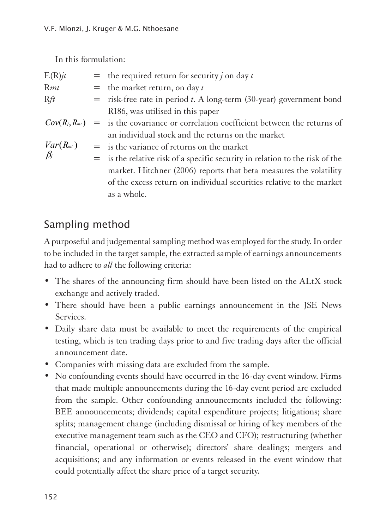In this formulation:

| $E(R)$ jt     | = the required return for security <i>j</i> on day <i>t</i>                              |
|---------------|------------------------------------------------------------------------------------------|
| Rmt           | $=$ the market return, on day t                                                          |
| Rft           | $=$ risk-free rate in period <i>t</i> . A long-term (30-year) government bond            |
|               | R186, was utilised in this paper                                                         |
|               | $Cov(R_i, R_{mt})$ = is the covariance or correlation coefficient between the returns of |
|               | an individual stock and the returns on the market                                        |
| $Var(R_{mt})$ | $=$ is the variance of returns on the market                                             |
| $\beta_i$     | $=$ is the relative risk of a specific security in relation to the risk of the           |
|               | market. Hitchner (2006) reports that beta measures the volatility                        |
|               | of the excess return on individual securities relative to the market                     |
|               | as a whole.                                                                              |
|               |                                                                                          |

# Sampling method

1A purposeful and judgemental sampling method was employed for the study. In order to be included in the target sample, the extracted sample of earnings announcements had to adhere to *all* the following criteria:

- The shares of the announcing firm should have been listed on the ALtX stock exchange and actively traded.
- There should have been a public earnings announcement in the JSE News Services.
- Daily share data must be available to meet the requirements of the empirical testing, which is ten trading days prior to and five trading days after the official announcement date.
- Companies with missing data are excluded from the sample.
- No confounding events should have occurred in the 16-day event window. Firms that made multiple announcements during the 16-day event period are excluded from the sample. Other confounding announcements included the following: BEE announcements; dividends; capital expenditure projects; litigations; share splits; management change (including dismissal or hiring of key members of the executive management team such as the CEO and CFO); restructuring (whether financial, operational or otherwise); directors' share dealings; mergers and acquisitions; and any information or events released in the event window that could potentially affect the share price of a target security.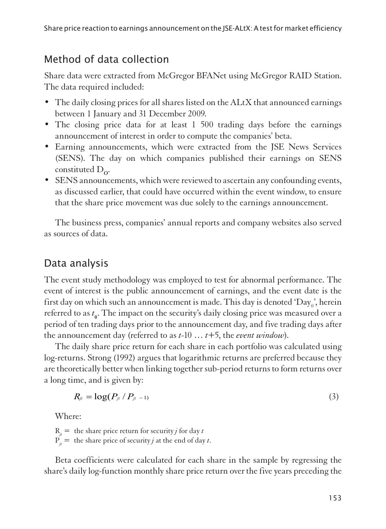# Method of data collection

1Share data were extracted from McGregor BFANet using McGregor RAID Station. The data required included:

- The daily closing prices for all shares listed on the ALtX that announced earnings between 1 January and 31 December 2009.
- The closing price data for at least 1 500 trading days before the earnings announcement of interest in order to compute the companies' beta.
- Earning announcements, which were extracted from the JSE News Services (SENS). The day on which companies published their earnings on SENS constituted  $D_{\alpha}$ .
- SENS announcements, which were reviewed to ascertain any confounding events, as discussed earlier, that could have occurred within the event window, to ensure that the share price movement was due solely to the earnings announcement.

The business press, companies' annual reports and company websites also served as sources of data.

# Data analysis

The event study methodology was employed to test for abnormal performance. The event of interest is the public announcement of earnings, and the event date is the first day on which such an announcement is made. This day is denoted 'Day $_{\rm o}$ ', herein referred to as  $t_0$ . The impact on the security's daily closing price was measured over a period of ten trading days prior to the announcement day, and five trading days after the announcement day (referred to as *t*-10 … *t*+5, the *event window*).

The daily share price return for each share in each portfolio was calculated using log-returns. Strong (1992) argues that logarithmic returns are preferred because they are theoretically better when linking together sub-period returns to form returns over a long time, and is given by:

$$
R_{jt} = \log(P_{jt} / P_{jt-1}) \tag{3}
$$

Where:

 $R_i$  = the share price return for security *j* for day *t* 

 $P_{\dot{u}} =$  the share price of security *j* at the end of day *t*.

Beta coefficients were calculated for each share in the sample by regressing the share's daily log-function monthly share price return over the five years preceding the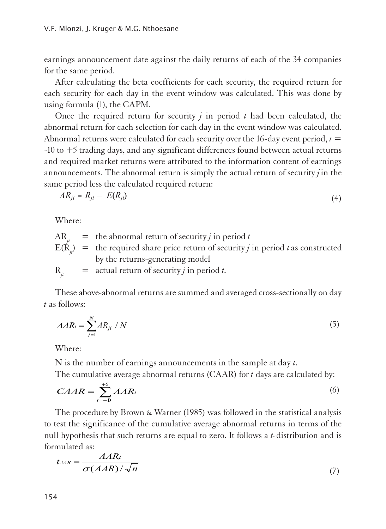earnings announcement date against the daily returns of each of the 34 companies for the same period.

After calculating the beta coefficients for each security, the required return for each security for each day in the event window was calculated. This was done by using formula (1), the CAPM.

Once the required return for security *j* in period *t* had been calculated, the abnormal return for each selection for each day in the event window was calculated. Abnormal returns were calculated for each security over the 16-day event period,  $t =$ -10 to +5 trading days, and any significant differences found between actual returns and required market returns were attributed to the information content of earnings announcements. The abnormal return is simply the actual return of security *j* in the same period less the calculated required return:

$$
AR_{jt} = R_{jt} - E(R_{jt}) \tag{4}
$$

Where:

 $AR_i$  = the abnormal return of security *j* in period *t*  $E(\hat{R}_r)$  = the required share price return of security *j* in period *t* as constructed by the returns-generating model

 $R_i$  = actual return of security *j* in period *t*.

These above-abnormal returns are summed and averaged cross-sectionally on day *t* as follows:

$$
AAR_t = \sum_{j=1}^{N} AR_{jt} / N \tag{5}
$$

Where:

N is the number of earnings announcements in the sample at day *t*.

The cumulative average abnormal returns (CAAR) for *t* days are calculated by:

$$
CAAR = \sum_{t=-0}^{+5} AAR_t
$$
 (6)

The procedure by Brown & Warner (1985) was followed in the statistical analysis to test the significance of the cumulative average abnormal returns in terms of the null hypothesis that such returns are equal to zero. It follows a *t-*distribution and is formulated as:

$$
t_{AAR} = \frac{AAR_t}{\sigma(AAR)/\sqrt{n}}
$$
\n<sup>(7)</sup>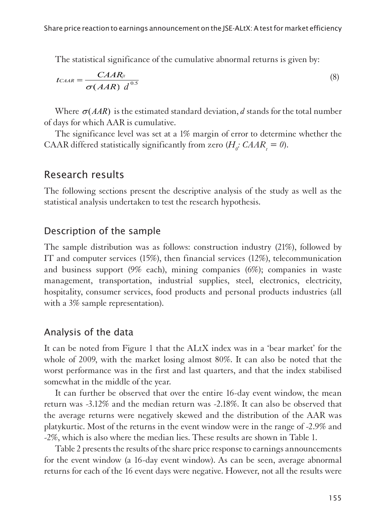The statistical significance of the cumulative abnormal returns is given by:

$$
t_{C A A R} = \frac{C A A R_{j\prime}}{\sigma (A A R) d^{0.5}}
$$
\n(8)

Where  $\sigma(AAR)$  is the estimated standard deviation, *d* stands for the total number of days for which AAR is cumulative.

The significance level was set at a 1% margin of error to determine whether the CAAR differed statistically significantly from zero  $(H<sub>o</sub>: CAAR<sub>i</sub> = 0)$ .

## Research results

1The following sections present the descriptive analysis of the study as well as the statistical analysis undertaken to test the research hypothesis.

### Description of the sample

1The sample distribution was as follows: construction industry (21%), followed by IT and computer services (15%), then financial services (12%), telecommunication and business support (9% each), mining companies (6%); companies in waste management, transportation, industrial supplies, steel, electronics, electricity, hospitality, consumer services, food products and personal products industries (all with a 3% sample representation).

### Analysis of the data

1It can be noted from Figure 1 that the ALtX index was in a 'bear market' for the whole of 2009, with the market losing almost 80%. It can also be noted that the worst performance was in the first and last quarters, and that the index stabilised somewhat in the middle of the year.

It can further be observed that over the entire 16-day event window, the mean return was -3.12% and the median return was -2.18%. It can also be observed that the average returns were negatively skewed and the distribution of the AAR was platykurtic. Most of the returns in the event window were in the range of -2.9% and -2%, which is also where the median lies. These results are shown in Table 1.

Table 2 presents the results of the share price response to earnings announcements for the event window (a 16-day event window). As can be seen, average abnormal returns for each of the 16 event days were negative. However, not all the results were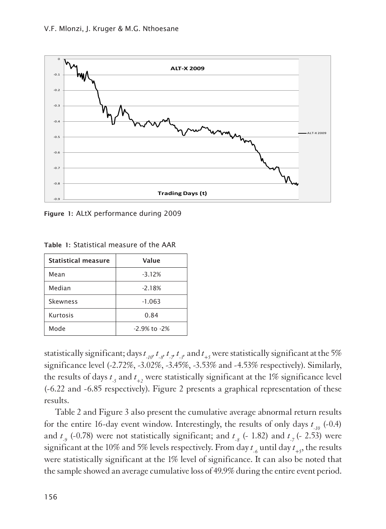

Figure 1: ALtX performance during 2009

| <b>Statistical measure</b> | Value            |  |  |
|----------------------------|------------------|--|--|
| Mean                       | $-3.12%$         |  |  |
| Median                     | $-2.18%$         |  |  |
| Skewness                   | $-1.063$         |  |  |
| Kurtosis                   | 0.84             |  |  |
| Mode                       | $-2.9%$ to $-2%$ |  |  |

Table 1: Statistical measure of the AAR

statistically significant; days  $t_{10}$ ,  $t_{8}$ ,  $t_{7}$ ,  $t_{8}$ , and  $t_{15}$  were statistically significant at the 5% significance level (-2.72%, -3.02%, -3.45%, -3.53% and -4.53% respectively). Similarly, the results of days  $t_5$  and  $t_{+2}$  were statistically significant at the 1% significance level (-6.22 and -6.85 respectively). Figure 2 presents a graphical representation of these results.

Table 2 and Figure 3 also present the cumulative average abnormal return results for the entire 16-day event window. Interestingly, the results of only days *t -10* (-0.4) and  $t_{.9}$  (-0.78) were not statistically significant; and  $t_{.8}$  (- 1.82) and  $t_{.7}$  (- 2.53) were significant at the 10% and 5% levels respectively. From day  $t_{-6}$  until day  $t_{+5}$ , the results were statistically significant at the 1% level of significance. It can also be noted that the sample showed an average cumulative loss of 49.9% during the entire event period.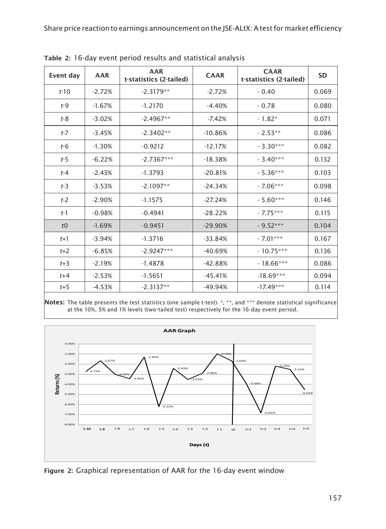|                |            |                                | <b>CAAR</b> |                                        | <b>SD</b> |
|----------------|------------|--------------------------------|-------------|----------------------------------------|-----------|
| Event day      | <b>AAR</b> | AAR<br>t-statistics (2-tailed) |             | <b>CAAR</b><br>t-statistics (2-tailed) |           |
| $t-10$         | $-2.72%$   | $-2.3179**$                    | $-2.72%$    | $-0.40$                                | 0.069     |
| $t-9$          | $-1.67%$   | $-1.2170$                      | $-4.40%$    | $-0.78$                                | 0.080     |
| $t-8$          | $-3.02%$   | $-2.4967**$                    | $-7.42%$    | $-1.82*$                               | 0.071     |
| $t-7$          | $-3.45%$   | $-2.3402**$                    | $-10.86%$   | $-2.53**$                              | 0.086     |
| $t-6$          | $-1.30%$   | $-0.9212$                      | $-12.17%$   | $-3.30***$                             | 0.082     |
| $t-5$          | $-6.22%$   | $-2.7367***$                   | $-18.38%$   | $-3.40***$                             | 0.132     |
| $t-4$          | $-2.43%$   | $-1.3793$                      | $-20.81%$   | $-5.36***$                             | 0.103     |
| $t-3$          | $-3.53%$   | $-2.1097**$                    | $-24.34%$   | $-7.06***$                             | 0.098     |
| $t-2$          | $-2.90%$   | $-1.1575$                      | $-27.24%$   | $-5.60***$                             | 0.146     |
| $t-1$          | $-0.98%$   | $-0.4941$                      | $-28.22%$   | $-7.75***$                             | 0.115     |
| t <sub>0</sub> | $-1.69%$   | $-0.9451$                      | $-29.90%$   | $-9.52***$                             | 0.104     |
| $t+1$          | $-3.94%$   | $-1.3716$                      | $-33.84%$   | $-7.01***$                             | 0.167     |
| $t+2$          | $-6.85%$   | $-2.9247***$                   | $-40.69%$   | $-10.75***$                            | 0.136     |
| $t+3$          | $-2.19%$   | $-1.4878$                      | $-42.88%$   | $-18.66***$                            | 0.086     |
| $t+4$          | $-2.53%$   | $-1.5651$                      | $-45.41%$   | $-18.69***$                            | 0.094     |
| $t+5$          | $-4.53%$   | $-2.3137**$                    | $-49.94%$   | $-17.49***$                            | 0.114     |

Table 2: 16-day event period results and statistical analysis

Notes: The table presents the test statistics (one sample t-test). \*, \*\*, and \*\*\* denote statistical significance at the 10%, 5% and 1% levels (two-tailed test) respectively for the 16-day event period.



Figure 2: Graphical representation of AAR for the 16-day event window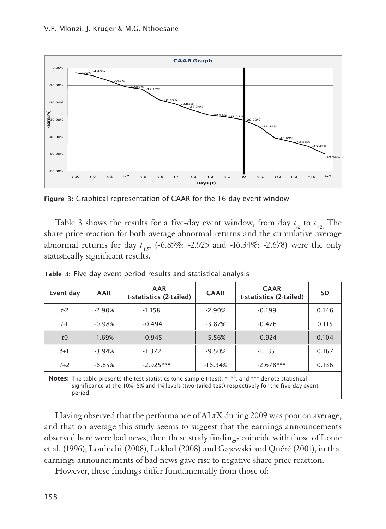

Figure 3: Graphical representation of CAAR for the 16-day event window

Table 3 shows the results for a five-day event window, from day  $t_{12}$  to  $t_{12}$ . The share price reaction for both average abnormal returns and the cumulative average abnormal returns for day *t +5*, (-6.85%: -2.925 and -16.34%: -2.678) were the only statistically significant results.

| Event day                                                                                                                                                                                                                 | AAR      | AAR<br>t-statistics (2-tailed) | <b>CAAR</b> | <b>CAAR</b><br>t-statistics (2-tailed) | <b>SD</b> |  |  |  |
|---------------------------------------------------------------------------------------------------------------------------------------------------------------------------------------------------------------------------|----------|--------------------------------|-------------|----------------------------------------|-----------|--|--|--|
| $t-2$                                                                                                                                                                                                                     | $-2.90%$ | $-1.158$                       | $-2.90%$    | $-0.199$                               | 0.146     |  |  |  |
| $t-1$                                                                                                                                                                                                                     | $-0.98%$ | $-0.494$                       | $-3.87%$    | $-0.476$                               | 0.115     |  |  |  |
| t <sub>0</sub>                                                                                                                                                                                                            | $-1.69%$ | $-0.945$                       | $-5.56%$    | $-0.924$                               | 0.104     |  |  |  |
| $t+1$                                                                                                                                                                                                                     | $-3.94%$ | $-1.372$                       | $-9.50%$    | $-1.135$                               | 0.167     |  |  |  |
| $t+2$                                                                                                                                                                                                                     | $-6.85%$ | $-2925***$                     | $-16.34%$   | $-2.678***$                            | 0.136     |  |  |  |
| <b>Notes:</b> The table presents the test statistics (one sample t-test). *, **, and *** denote statistical<br>significance at the 10%, 5% and 1% levels (two-tailed test) respectively for the five-day event<br>period. |          |                                |             |                                        |           |  |  |  |

Table 3: Five-day event period results and statistical analysis

Having observed that the performance of ALtX during 2009 was poor on average, and that on average this study seems to suggest that the earnings announcements observed here were bad news, then these study findings coincide with those of Lonie et al. (1996), Louhichi (2008), Lakhal (2008) and Gajewski and Quéré (2001), in that earnings announcements of bad news gave rise to negative share price reaction.

However, these findings differ fundamentally from those of: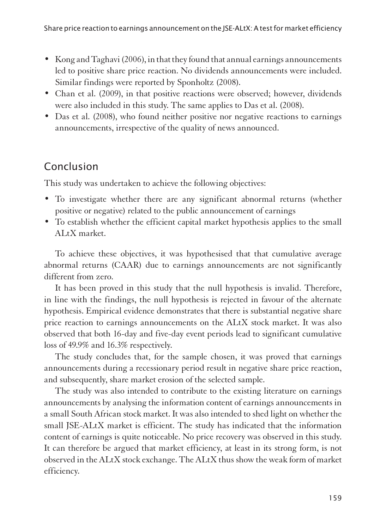- Kong and Taghavi (2006), in that they found that annual earnings announcements led to positive share price reaction. No dividends announcements were included. Similar findings were reported by Sponholtz (2008).
- Chan et al. (2009), in that positive reactions were observed; however, dividends were also included in this study. The same applies to Das et al. (2008).
- Das et al. (2008), who found neither positive nor negative reactions to earnings announcements, irrespective of the quality of news announced.

# Conclusion

This study was undertaken to achieve the following objectives:

- To investigate whether there are any significant abnormal returns (whether positive or negative) related to the public announcement of earnings
- To establish whether the efficient capital market hypothesis applies to the small ALtX market.

To achieve these objectives, it was hypothesised that that cumulative average abnormal returns (CAAR) due to earnings announcements are not significantly different from zero.

It has been proved in this study that the null hypothesis is invalid. Therefore, in line with the findings, the null hypothesis is rejected in favour of the alternate hypothesis. Empirical evidence demonstrates that there is substantial negative share price reaction to earnings announcements on the ALtX stock market. It was also observed that both 16-day and five-day event periods lead to significant cumulative loss of 49.9% and 16.3% respectively.

The study concludes that, for the sample chosen, it was proved that earnings announcements during a recessionary period result in negative share price reaction, and subsequently, share market erosion of the selected sample.

The study was also intended to contribute to the existing literature on earnings announcements by analysing the information content of earnings announcements in a small South African stock market. It was also intended to shed light on whether the small JSE-ALtX market is efficient. The study has indicated that the information content of earnings is quite noticeable. No price recovery was observed in this study. It can therefore be argued that market efficiency, at least in its strong form, is not observed in the ALtX stock exchange. The ALtX thus show the weak form of market efficiency.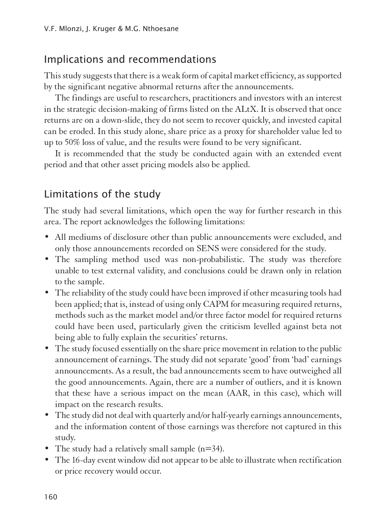## Implications and recommendations

1This study suggests that there is a weak form of capital market efficiency, as supported by the significant negative abnormal returns after the announcements.

The findings are useful to researchers, practitioners and investors with an interest in the strategic decision-making of firms listed on the ALtX. It is observed that once returns are on a down-slide, they do not seem to recover quickly, and invested capital can be eroded. In this study alone, share price as a proxy for shareholder value led to up to 50% loss of value, and the results were found to be very significant.

It is recommended that the study be conducted again with an extended event period and that other asset pricing models also be applied.

# Limitations of the study

The study had several limitations, which open the way for further research in this area. The report acknowledges the following limitations:

- All mediums of disclosure other than public announcements were excluded, and only those announcements recorded on SENS were considered for the study.
- The sampling method used was non-probabilistic. The study was therefore unable to test external validity, and conclusions could be drawn only in relation to the sample.
- The reliability of the study could have been improved if other measuring tools had been applied; that is, instead of using only CAPM for measuring required returns, methods such as the market model and/or three factor model for required returns could have been used, particularly given the criticism levelled against beta not being able to fully explain the securities' returns.
- The study focused essentially on the share price movement in relation to the public announcement of earnings. The study did not separate 'good' from 'bad' earnings announcements. As a result, the bad announcements seem to have outweighed all the good announcements. Again, there are a number of outliers, and it is known that these have a serious impact on the mean (AAR, in this case), which will impact on the research results.
- The study did not deal with quarterly and/or half-yearly earnings announcements, and the information content of those earnings was therefore not captured in this study.
- The study had a relatively small sample (n=34).
- The 16-day event window did not appear to be able to illustrate when rectification or price recovery would occur.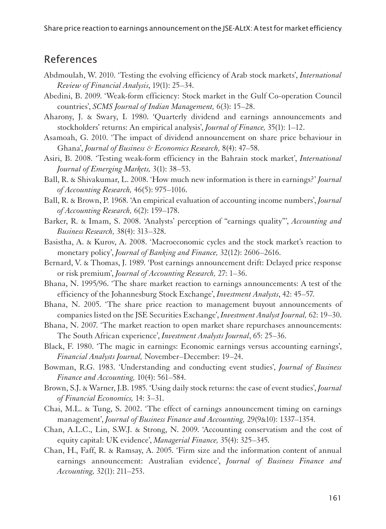Share price reaction to earnings announcement on the JSE-ALtX: A test for market efficiency

## References

- Abdmoulah, W. 2010. 'Testing the evolving efficiency of Arab stock markets', *International Review of Financial Analysis*, 19(1): 25–34.
- Abedini, B. 2009. 'Weak-form efficiency: Stock market in the Gulf Co-operation Council countries', *SCMS Journal of Indian Management,* 6(3): 15–28.
- Aharony, J. & Swary, I. 1980. 'Quarterly dividend and earnings announcements and stockholders' returns: An empirical analysis', *Journal of Finance,* 35(1): 1–12.
- Asamoah, G. 2010. 'The impact of dividend announcement on share price behaviour in Ghana', *Journal of Business & Economics Research,* 8(4): 47–58.
- Asiri, B. 2008. 'Testing weak-form efficiency in the Bahrain stock market', *International Journal of Emerging Markets,* 3(1): 38–53.
- Ball, R. & Shivakumar, L. 2008. 'How much new information is there in earnings?' *Journal of Accounting Research,* 46(5): 975–1016.
- Ball, R. & Brown, P. 1968. 'An empirical evaluation of accounting income numbers', *Journal of Accounting Research,* 6(2): 159–178.
- Barker, R. & Imam, S. 2008. 'Analysts' perception of "earnings quality"', *Accounting and Business Research,* 38(4): 313–328.
- Basistha, A. & Kurov, A. 2008. 'Macroeconomic cycles and the stock market's reaction to monetary policy', *Journal of Banking and Finance,* 32(12): 2606–2616.
- Bernard, V. & Thomas, J. 1989. 'Post earnings announcement drift: Delayed price response or risk premium', *Journal of Accounting Research,* 27: 1–36.
- Bhana, N. 1995/96. 'The share market reaction to earnings announcements: A test of the efficiency of the Johannesburg Stock Exchange', *Investment Analysts*, 42: 45–57.
- Bhana, N. 2005. 'The share price reaction to management buyout announcements of companies listed on the JSE Securities Exchange', *Investment Analyst Journal,* 62: 19–30.
- Bhana, N. 2007. 'The market reaction to open market share repurchases announcements: The South African experience', *Investment Analysts Journal*, 65: 25–36.
- Black, F. 1980. 'The magic in earnings: Economic earnings versus accounting earnings', *Financial Analysts Journal,* November–December: 19–24.
- Bowman, R.G. 1983. 'Understanding and conducting event studies', *Journal of Business Finance and Accounting,* 10(4): 561–584.
- Brown, S.J. & Warner, J.B. 1985. 'Using daily stock returns: the case of event studies', *Journal of Financial Economics,* 14: 3–31.
- Chai, M.L. & Tung, S. 2002. 'The effect of earnings announcement timing on earnings management', *Journal of Business Finance and Accounting,* 29(9&10): 1337–1354.
- Chan, A.L.C., Lin, S.W.J. & Strong, N. 2009. 'Accounting conservatism and the cost of equity capital: UK evidence', *Managerial Finance,* 35(4): 325–345.
- Chan, H., Faff, R. & Ramsay, A. 2005. 'Firm size and the information content of annual earnings announcement: Australian evidence', *Journal of Business Finance and Accounting,* 32(1): 211–253.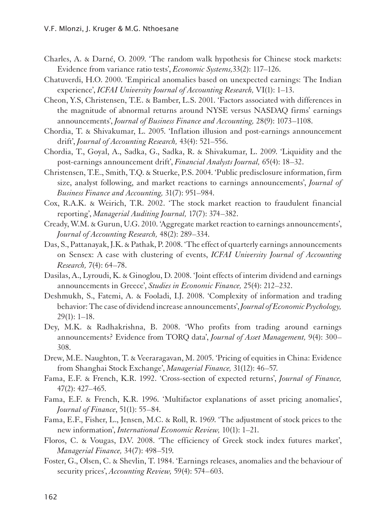- Charles, A. & Darné, O. 2009. 'The random walk hypothesis for Chinese stock markets: Evidence from variance ratio tests', *Economic Systems,*33(2): 117–126.
- Chatuverdi, H.O. 2000. 'Empirical anomalies based on unexpected earnings: The Indian experience', *ICFAI University Journal of Accounting Research,* VI(1): 1–13.
- Cheon, Y.S, Christensen, T.E. & Bamber, L.S. 2001. 'Factors associated with differences in the magnitude of abnormal returns around NYSE versus NASDAQ firms' earnings announcements', *Journal of Business Finance and Accounting,* 28(9): 1073–1108.
- Chordia, T. & Shivakumar, L. 2005. 'Inflation illusion and post-earnings announcement drift', *Journal of Accounting Research,* 43(4): 521–556.
- Chordia, T., Goyal, A., Sadka, G., Sadka, R. & Shivakumar, L. 2009. 'Liquidity and the post-earnings announcement drift', *Financial Analysts Journal,* 65(4): 18–32.
- Christensen, T.E., Smith, T.Q. & Stuerke, P.S. 2004. 'Public predisclosure information, firm size, analyst following, and market reactions to earnings announcements', *Journal of Business Finance and Accounting,* 31(7): 951–984.
- Cox, R.A.K. & Weirich, T.R. 2002. 'The stock market reaction to fraudulent financial reporting', *Managerial Auditing Journal,* 17(7): 374–382.
- Cready, W.M. & Gurun, U.G. 2010. 'Aggregate market reaction to earnings announcements', *Journal of Accounting Research,* 48(2): 289–334.
- Das, S., Pattanayak, J.K. & Pathak, P. 2008. 'The effect of quarterly earnings announcements on Sensex: A case with clustering of events, *ICFAI University Journal of Accounting Research,* 7(4): 64–78.
- Dasilas, A., Lyroudi, K. & Ginoglou, D. 2008. 'Joint effects of interim dividend and earnings announcements in Greece', *Studies in Economic Finance,* 25(4): 212–232.
- Deshmukh, S., Fatemi, A. & Fooladi, I.J. 2008. 'Complexity of information and trading behavior: The case of dividend increase announcements', *Journal of Economic Psychology,* 29(1): 1–18.
- Dey, M.K. & Radhakrishna, B. 2008. 'Who profits from trading around earnings announcements? Evidence from TORQ data', *Journal of Asset Management,* 9(4): 300– 308.
- Drew, M.E. Naughton, T. & Veeraragavan, M. 2005. 'Pricing of equities in China: Evidence from Shanghai Stock Exchange', *Managerial Finance,* 31(12): 46–57.
- Fama, E.F. & French, K.R. 1992. 'Cross-section of expected returns', *Journal of Finance,*  47(2): 427–465.
- Fama, E.F. & French, K.R. 1996. 'Multifactor explanations of asset pricing anomalies', *Journal of Finance*, 51(1): 55–84.
- Fama, E.F., Fisher, L., Jensen, M.C. & Roll, R. 1969. 'The adjustment of stock prices to the new information', *International Economic Review,* 10(1): 1–21.
- Floros, C. & Vougas, D.V. 2008. 'The efficiency of Greek stock index futures market', *Managerial Finance,* 34(7): 498–519.
- Foster, G., Olsen, C. & Shevlin, T. 1984. 'Earnings releases, anomalies and the behaviour of security prices', *Accounting Review,* 59(4): 574–603.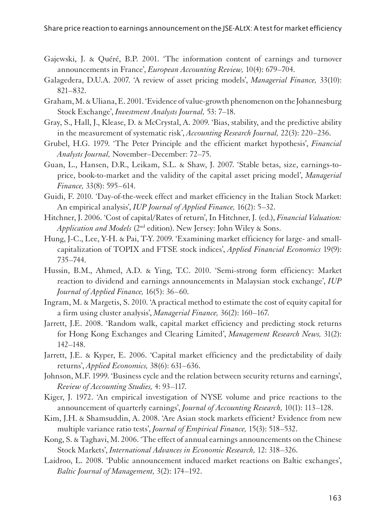- Gajewski, J. & Quéré, B.P. 2001. 'The information content of earnings and turnover announcements in France', *European Accounting Review,* 10(4): 679–704.
- Galagedera, D.U.A. 2007. 'A review of asset pricing models', *Managerial Finance,* 33(10): 821–832.
- Graham, M. & Uliana, E. 2001. 'Evidence of value-growth phenomenon on the Johannesburg Stock Exchange', *Investment Analysts Journal,* 53: 7–18.
- Gray, S., Hall, J., Klease, D. & McCrystal, A. 2009. 'Bias, stability, and the predictive ability in the measurement of systematic risk', *Accounting Research Journal,* 22(3): 220–236.
- Grubel, H.G. 1979. 'The Peter Principle and the efficient market hypothesis', *Financial Analysts Journal,* November–December: 72–75.
- Guan, L., Hansen, D.R., Leikam, S.L. & Shaw, J. 2007. 'Stable betas, size, earnings-toprice, book-to-market and the validity of the capital asset pricing model', *Managerial Finance,* 33(8): 595–614.
- Guidi, F. 2010. 'Day-of-the-week effect and market efficiency in the Italian Stock Market: An empirical analysis', *IUP Journal of Applied Finance,* 16(2): 5–32.
- Hitchner, J. 2006. 'Cost of capital/Rates of return', In Hitchner, J. (ed.), *Financial Valuation: Application and Models* (2nd edition). New Jersey: John Wiley & Sons.
- Hung, J-C., Lee, Y-H. & Pai, T-Y. 2009. 'Examining market efficiency for large- and smallcapitalization of TOPIX and FTSE stock indices', *Applied Financial Economics* 19(9): 735–744.
- Hussin, B.M., Ahmed, A.D. & Ying, T.C. 2010. 'Semi-strong form efficiency: Market reaction to dividend and earnings announcements in Malaysian stock exchange', *IUP Journal of Applied Finance,* 16(5): 36–60.
- Ingram, M. & Margetis, S. 2010. 'A practical method to estimate the cost of equity capital for a firm using cluster analysis', *Managerial Finance,* 36(2): 160–167.
- Jarrett, J.E. 2008. 'Random walk, capital market efficiency and predicting stock returns for Hong Kong Exchanges and Clearing Limited', *Management Research News,* 31(2): 142–148.
- Jarrett, J.E. & Kyper, E. 2006. 'Capital market efficiency and the predictability of daily returns', *Applied Economics,* 38(6): 631–636.
- Johnson, M.F. 1999. 'Business cycle and the relation between security returns and earnings', *Review of Accounting Studies,* 4: 93–117.
- Kiger, J. 1972. 'An empirical investigation of NYSE volume and price reactions to the announcement of quarterly earnings', *Journal of Accounting Research,* 10(1): 113–128.
- Kim, J.H. & Shamsuddin, A. 2008. 'Are Asian stock markets efficient? Evidence from new multiple variance ratio tests', *Journal of Empirical Finance,* 15(3): 518–532.
- Kong, S. & Taghavi, M. 2006. 'The effect of annual earnings announcements on the Chinese Stock Markets', *International Advances in Economic Research,* 12: 318–326.
- Laidroo, L. 2008. 'Public announcement induced market reactions on Baltic exchanges', *Baltic Journal of Management,* 3(2): 174–192.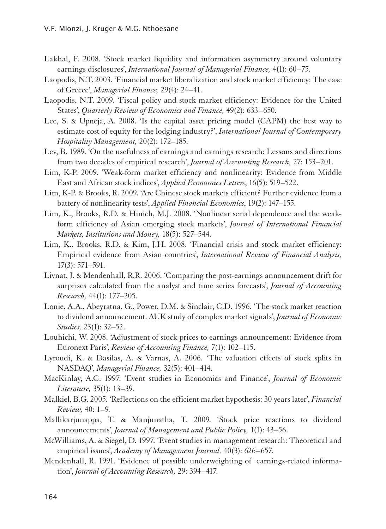- Lakhal, F. 2008. 'Stock market liquidity and information asymmetry around voluntary earnings disclosures', *International Journal of Managerial Finance,* 4(1): 60–75.
- Laopodis, N.T. 2003. 'Financial market liberalization and stock market efficiency: The case of Greece', *Managerial Finance,* 29(4): 24–41.
- Laopodis, N.T. 2009. 'Fiscal policy and stock market efficiency: Evidence for the United States', *Quarterly Review of Economics and Finance,* 49(2): 633–650.
- Lee, S. & Upneja, A. 2008. 'Is the capital asset pricing model (CAPM) the best way to estimate cost of equity for the lodging industry?', *International Journal of Contemporary Hospitality Management,* 20(2): 172–185.
- Lev, B. 1989. 'On the usefulness of earnings and earnings research: Lessons and directions from two decades of empirical research', *Journal of Accounting Research,* 27: 153–201.
- Lim, K-P. 2009. 'Weak-form market efficiency and nonlinearity: Evidence from Middle East and African stock indices', *Applied Economics Letters*, 16(5): 519–522.
- Lim, K-P. & Brooks, R. 2009. 'Are Chinese stock markets efficient? Further evidence from a battery of nonlinearity tests', *Applied Financial Economics*, 19(2): 147–155.
- Lim, K., Brooks, R.D. & Hinich, M.J. 2008. 'Nonlinear serial dependence and the weakform efficiency of Asian emerging stock markets', *Journal of International Financial Markets, Institutions and Money,* 18(5): 527–544.
- Lim, K., Brooks, R.D. & Kim, J.H. 2008. 'Financial crisis and stock market efficiency: Empirical evidence from Asian countries', *International Review of Financial Analysis,*  17(3): 571–591.
- Livnat, J. & Mendenhall, R.R. 2006. 'Comparing the post-earnings announcement drift for surprises calculated from the analyst and time series forecasts', *Journal of Accounting Research,* 44(1): 177–205.
- Lonie, A.A., Abeyratna, G., Power, D.M. & Sinclair, C.D. 1996. 'The stock market reaction to dividend announcement. AUK study of complex market signals', *Journal of Economic Studies,* 23(1): 32–52.
- Louhichi, W. 2008. 'Adjustment of stock prices to earnings announcement: Evidence from Euronext Paris', *Review of Accounting Finance,* 7(1): 102–115.
- Lyroudi, K. & Dasilas, A. & Varnas, A. 2006. 'The valuation effects of stock splits in NASDAQ', *Managerial Finance,* 32(5): 401–414.
- MacKinlay, A.C. 1997. 'Event studies in Economics and Finance', *Journal of Economic Literature,* 35(1): 13–39.
- Malkiel, B.G. 2005. 'Reflections on the efficient market hypothesis: 30 years later', *Financial Review,* 40: 1–9.
- Mallikarjunappa, T. & Manjunatha, T. 2009. 'Stock price reactions to dividend announcements', *Journal of Management and Public Policy,* 1(1): 43–56.
- McWilliams, A. & Siegel, D. 1997. 'Event studies in management research: Theoretical and empirical issues', *Academy of Management Journal,* 40(3): 626–657.
- Mendenhall, R. 1991. 'Evidence of possible underweighting of earnings-related information', *Journal of Accounting Research,* 29: 394–417.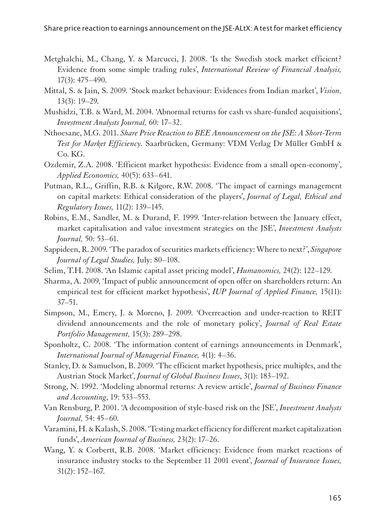- Metghalchi, M., Chang, Y. & Marcucci, J. 2008. 'Is the Swedish stock market efficient? Evidence from some simple trading rules', *International Review of Financial Analysis,*  17(3): 475–490.
- Mittal, S. & Jain, S. 2009. 'Stock market behaviour: Evidences from Indian market', *Vision,*  13(3): 19–29.
- Mushidzi, T.B. & Ward, M. 2004. 'Abnormal returns for cash vs share-funded acquisitions', *Investment Analysts Journal,* 60: 17–32.
- Nthoesane, M.G. 2011. *Share Price Reaction to BEE Announcement on the JSE: A Short-Term Test for Market Efficiency.* Saarbrücken, Germany: VDM Verlag Dr Müller GmbH & Co. KG.
- Ozdemir, Z.A. 2008. 'Efficient market hypothesis: Evidence from a small open-economy', *Applied Economics,* 40(5): 633–641.
- Putman, R.L., Griffin, R.B. & Kilgore, R.W. 2008. 'The impact of earnings management on capital markets: Ethical consideration of the players', *Journal of Legal, Ethical and Regulatory Issues,* 11(2): 139–145.
- Robins, E.M., Sandler, M. & Durand, F. 1999. 'Inter-relation between the January effect, market capitalisation and value investment strategies on the JSE', *Investment Analysts Journal,* 50: 53–61.
- Sappideen, R. 2009. 'The paradox of securities markets efficiency: Where to next?', *Singapore Journal of Legal Studies,* July: 80–108.
- Selim, T.H. 2008. 'An Islamic capital asset pricing model', *Humanomics,* 24(2): 122–129.
- Sharma, A. 2009, 'Impact of public announcement of open offer on shareholders return: An empirical test for efficient market hypothesis', *IUP Journal of Applied Finance,* 15(11): 37–51.
- Simpson, M., Emery, J. & Moreno, J. 2009. 'Overreaction and under-reaction to REIT dividend announcements and the role of monetary policy', *Journal of Real Estate Portfolio Management,* 15(3): 289–298.
- Sponholtz, C. 2008. 'The information content of earnings announcements in Denmark', *International Journal of Managerial Finance,* 4(1): 4–36.
- Stanley, D. & Samuelson, B. 2009. 'The efficient market hypothesis, price multiples, and the Austrian Stock Market', *Journal of Global Business Issues*, 3(1): 183–192.
- Strong, N. 1992. 'Modeling abnormal returns: A review article', *Journal of Business Finance and Accounting*, 19: 533–553.
- Van Rensburg, P. 2001. 'A decomposition of style-based risk on the JSE', *Investment Analysts Journal,* 54: 45–60.
- Varamini, H. & Kalash, S. 2008. 'Testing market efficiency for different market capitalization funds', *American Journal of Business,* 23(2): 17–26.
- Wang, Y. & Corbertt, R.B. 2008. 'Market efficiency: Evidence from market reactions of insurance industry stocks to the September 11 2001 event', *Journal of Insurance Issues,*  31(2): 152–167.